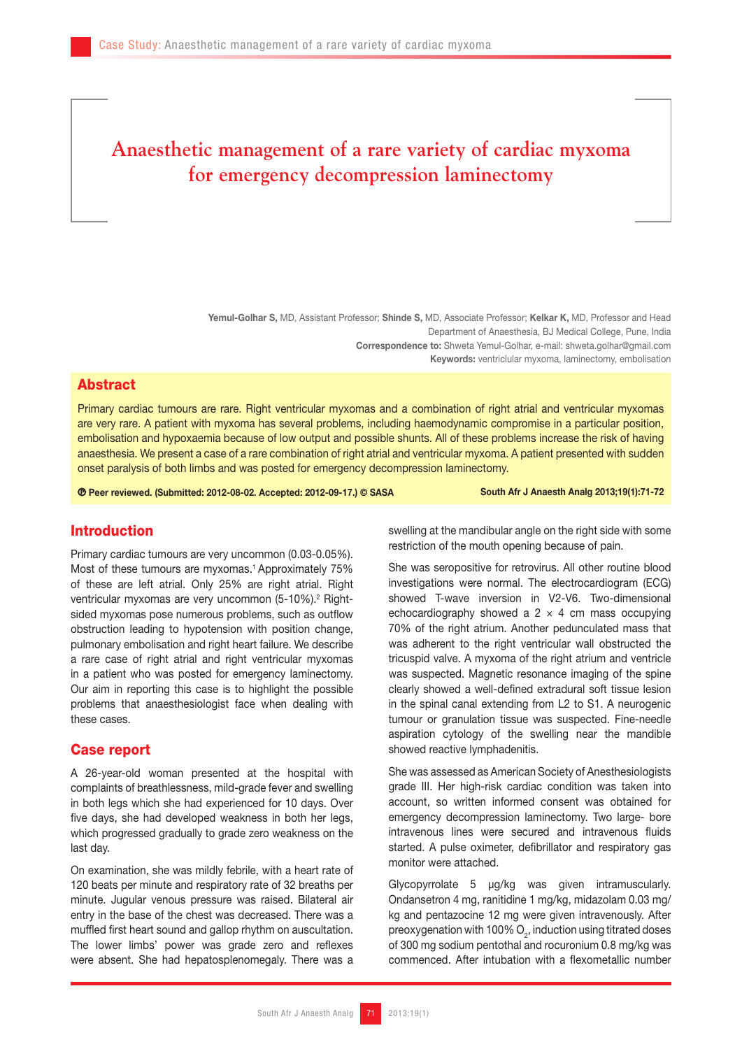# **Anaesthetic management of a rare variety of cardiac myxoma for emergency decompression laminectomy**

Yemul-Golhar S, MD, Assistant Professor; Shinde S, MD, Associate Professor; Kelkar K, MD, Professor and Head Department of Anaesthesia, BJ Medical College, Pune, India Correspondence to: Shweta Yemul-Golhar, e-mail: shweta.golhar@gmail.com Keywords: ventriclular myxoma, laminectomy, embolisation

## Abstract

Primary cardiac tumours are rare. Right ventricular myxomas and a combination of right atrial and ventricular myxomas are very rare. A patient with myxoma has several problems, including haemodynamic compromise in a particular position, embolisation and hypoxaemia because of low output and possible shunts. All of these problems increase the risk of having anaesthesia. We present a case of a rare combination of right atrial and ventricular myxoma. A patient presented with sudden onset paralysis of both limbs and was posted for emergency decompression laminectomy.

Peer reviewed. (Submitted: 2012-08-02. Accepted: 2012-09-17.) © SASA South Afr J Anaesth Analg 2013;19(1):71-72

## Introduction

Primary cardiac tumours are very uncommon (0.03-0.05%). Most of these tumours are myxomas.<sup>1</sup> Approximately 75% of these are left atrial. Only 25% are right atrial. Right ventricular myxomas are very uncommon (5-10%).<sup>2</sup> Rightsided myxomas pose numerous problems, such as outflow obstruction leading to hypotension with position change, pulmonary embolisation and right heart failure. We describe a rare case of right atrial and right ventricular myxomas in a patient who was posted for emergency laminectomy. Our aim in reporting this case is to highlight the possible problems that anaesthesiologist face when dealing with these cases.

#### Case report

A 26-year-old woman presented at the hospital with complaints of breathlessness, mild-grade fever and swelling in both legs which she had experienced for 10 days. Over five days, she had developed weakness in both her legs, which progressed gradually to grade zero weakness on the last day.

On examination, she was mildly febrile, with a heart rate of 120 beats per minute and respiratory rate of 32 breaths per minute. Jugular venous pressure was raised. Bilateral air entry in the base of the chest was decreased. There was a muffled first heart sound and gallop rhythm on auscultation. The lower limbs' power was grade zero and reflexes were absent. She had hepatosplenomegaly. There was a

swelling at the mandibular angle on the right side with some restriction of the mouth opening because of pain.

She was seropositive for retrovirus. All other routine blood investigations were normal. The electrocardiogram (ECG) showed T-wave inversion in V2-V6. Two-dimensional echocardiography showed a  $2 \times 4$  cm mass occupying 70% of the right atrium. Another pedunculated mass that was adherent to the right ventricular wall obstructed the tricuspid valve. A myxoma of the right atrium and ventricle was suspected. Magnetic resonance imaging of the spine clearly showed a well-defined extradural soft tissue lesion in the spinal canal extending from L2 to S1. A neurogenic tumour or granulation tissue was suspected. Fine-needle aspiration cytology of the swelling near the mandible showed reactive lymphadenitis.

She was assessed as American Society of Anesthesiologists grade III. Her high-risk cardiac condition was taken into account, so written informed consent was obtained for emergency decompression laminectomy. Two large- bore intravenous lines were secured and intravenous fluids started. A pulse oximeter, defibrillator and respiratory gas monitor were attached.

Glycopyrrolate 5 µg/kg was given intramuscularly. Ondansetron 4 mg, ranitidine 1 mg/kg, midazolam 0.03 mg/ kg and pentazocine 12 mg were given intravenously. After preoxygenation with 100%  $O<sub>2</sub>$ , induction using titrated doses of 300 mg sodium pentothal and rocuronium 0.8 mg/kg was commenced. After intubation with a flexometallic number